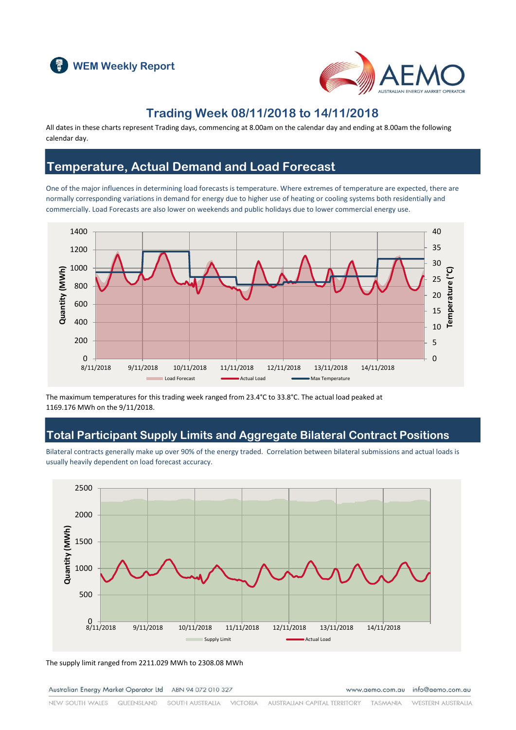



### **Trading Week 08/11/2018 to 14/11/2018**

All dates in these charts represent Trading days, commencing at 8.00am on the calendar day and ending at 8.00am the following calendar day.

### **Temperature, Actual Demand and Load Forecast**

One of the major influences in determining load forecasts is temperature. Where extremes of temperature are expected, there are normally corresponding variations in demand for energy due to higher use of heating or cooling systems both residentially and commercially. Load Forecasts are also lower on weekends and public holidays due to lower commercial energy use.



The maximum temperatures for this trading week ranged from 23.4°C to 33.8°C. The actual load peaked at 1169.176 MWh on the 9/11/2018.

### **Total Participant Supply Limits and Aggregate Bilateral Contract Positions**

Bilateral contracts generally make up over 90% of the energy traded. Correlation between bilateral submissions and actual loads is usually heavily dependent on load forecast accuracy.



The supply limit ranged from 2211.029 MWh to 2308.08 MWh

Australian Energy Market Operator Ltd ABN 94 072 010 327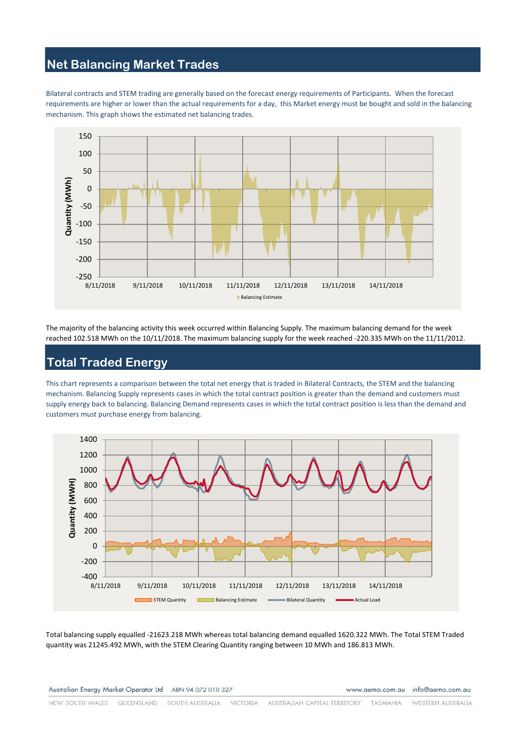# **Net Balancing Market Trades**

Bilateral contracts and STEM trading are generally based on the forecast energy requirements of Participants. When the forecast requirements are higher or lower than the actual requirements for a day, this Market energy must be bought and sold in the balancing mechanism. This graph shows the estimated net balancing trades.



The majority of the balancing activity this week occurred within Balancing Supply. The maximum balancing demand for the week reached 102.518 MWh on the 10/11/2018. The maximum balancing supply for the week reached -220.335 MWh on the 11/11/2012.

# **Total Traded Energy**

This chart represents a comparison between the total net energy that is traded in Bilateral Contracts, the STEM and the balancing mechanism. Balancing Supply represents cases in which the total contract position is greater than the demand and customers must supply energy back to balancing. Balancing Demand represents cases in which the total contract position is less than the demand and customers must purchase energy from balancing.



Total balancing supply equalled -21623.218 MWh whereas total balancing demand equalled 1620.322 MWh. The Total STEM Traded quantity was 21245.492 MWh, with the STEM Clearing Quantity ranging between 10 MWh and 186.813 MWh.